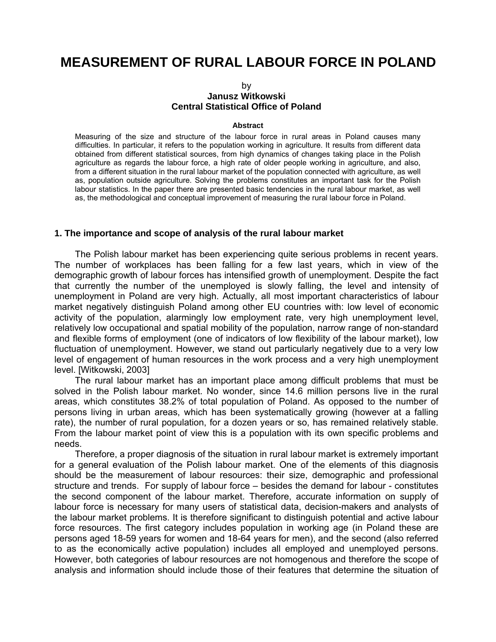# **MEASUREMENT OF RURAL LABOUR FORCE IN POLAND**

# by **Janusz Witkowski Central Statistical Office of Poland**

#### **Abstract**

Measuring of the size and structure of the labour force in rural areas in Poland causes many difficulties. In particular, it refers to the population working in agriculture. It results from different data obtained from different statistical sources, from high dynamics of changes taking place in the Polish agriculture as regards the labour force, a high rate of older people working in agriculture, and also, from a different situation in the rural labour market of the population connected with agriculture, as well as, population outside agriculture. Solving the problems constitutes an important task for the Polish labour statistics. In the paper there are presented basic tendencies in the rural labour market, as well as, the methodological and conceptual improvement of measuring the rural labour force in Poland.

#### **1. The importance and scope of analysis of the rural labour market**

 The Polish labour market has been experiencing quite serious problems in recent years. The number of workplaces has been falling for a few last years, which in view of the demographic growth of labour forces has intensified growth of unemployment. Despite the fact that currently the number of the unemployed is slowly falling, the level and intensity of unemployment in Poland are very high. Actually, all most important characteristics of labour market negatively distinguish Poland among other EU countries with: low level of economic activity of the population, alarmingly low employment rate, very high unemployment level, relatively low occupational and spatial mobility of the population, narrow range of non-standard and flexible forms of employment (one of indicators of low flexibility of the labour market), low fluctuation of unemployment. However, we stand out particularly negatively due to a very low level of engagement of human resources in the work process and a very high unemployment level. [Witkowski, 2003]

 The rural labour market has an important place among difficult problems that must be solved in the Polish labour market. No wonder, since 14.6 million persons live in the rural areas, which constitutes 38.2% of total population of Poland. As opposed to the number of persons living in urban areas, which has been systematically growing (however at a falling rate), the number of rural population, for a dozen years or so, has remained relatively stable. From the labour market point of view this is a population with its own specific problems and needs.

 Therefore, a proper diagnosis of the situation in rural labour market is extremely important for a general evaluation of the Polish labour market. One of the elements of this diagnosis should be the measurement of labour resources: their size, demographic and professional structure and trends. For supply of labour force – besides the demand for labour - constitutes the second component of the labour market. Therefore, accurate information on supply of labour force is necessary for many users of statistical data, decision-makers and analysts of the labour market problems. It is therefore significant to distinguish potential and active labour force resources. The first category includes population in working age (in Poland these are persons aged 18-59 years for women and 18-64 years for men), and the second (also referred to as the economically active population) includes all employed and unemployed persons. However, both categories of labour resources are not homogenous and therefore the scope of analysis and information should include those of their features that determine the situation of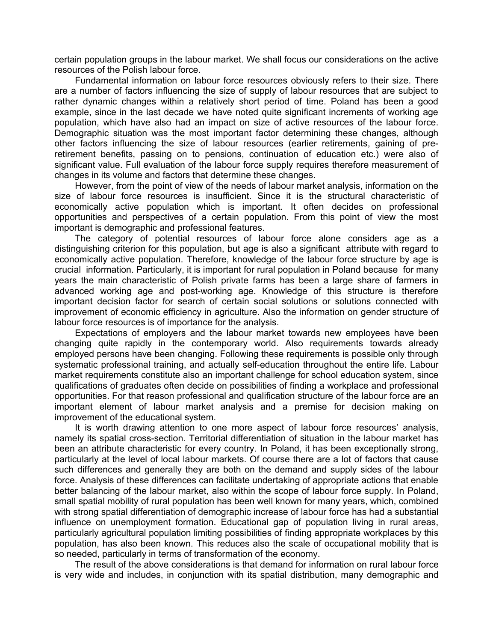certain population groups in the labour market. We shall focus our considerations on the active resources of the Polish labour force.

 Fundamental information on labour force resources obviously refers to their size. There are a number of factors influencing the size of supply of labour resources that are subject to rather dynamic changes within a relatively short period of time. Poland has been a good example, since in the last decade we have noted quite significant increments of working age population, which have also had an impact on size of active resources of the labour force. Demographic situation was the most important factor determining these changes, although other factors influencing the size of labour resources (earlier retirements, gaining of preretirement benefits, passing on to pensions, continuation of education etc.) were also of significant value. Full evaluation of the labour force supply requires therefore measurement of changes in its volume and factors that determine these changes.

 However, from the point of view of the needs of labour market analysis, information on the size of labour force resources is insufficient. Since it is the structural characteristic of economically active population which is important. It often decides on professional opportunities and perspectives of a certain population. From this point of view the most important is demographic and professional features.

 The category of potential resources of labour force alone considers age as a distinguishing criterion for this population, but age is also a significant attribute with regard to economically active population. Therefore, knowledge of the labour force structure by age is crucial information. Particularly, it is important for rural population in Poland because for many years the main characteristic of Polish private farms has been a large share of farmers in advanced working age and post-working age. Knowledge of this structure is therefore important decision factor for search of certain social solutions or solutions connected with improvement of economic efficiency in agriculture. Also the information on gender structure of labour force resources is of importance for the analysis.

 Expectations of employers and the labour market towards new employees have been changing quite rapidly in the contemporary world. Also requirements towards already employed persons have been changing. Following these requirements is possible only through systematic professional training, and actually self-education throughout the entire life. Labour market requirements constitute also an important challenge for school education system, since qualifications of graduates often decide on possibilities of finding a workplace and professional opportunities. For that reason professional and qualification structure of the labour force are an important element of labour market analysis and a premise for decision making on improvement of the educational system.

 It is worth drawing attention to one more aspect of labour force resources' analysis, namely its spatial cross-section. Territorial differentiation of situation in the labour market has been an attribute characteristic for every country. In Poland, it has been exceptionally strong, particularly at the level of local labour markets. Of course there are a lot of factors that cause such differences and generally they are both on the demand and supply sides of the labour force. Analysis of these differences can facilitate undertaking of appropriate actions that enable better balancing of the labour market, also within the scope of labour force supply. In Poland, small spatial mobility of rural population has been well known for many years, which, combined with strong spatial differentiation of demographic increase of labour force has had a substantial influence on unemployment formation. Educational gap of population living in rural areas, particularly agricultural population limiting possibilities of finding appropriate workplaces by this population, has also been known. This reduces also the scale of occupational mobility that is so needed, particularly in terms of transformation of the economy.

 The result of the above considerations is that demand for information on rural labour force is very wide and includes, in conjunction with its spatial distribution, many demographic and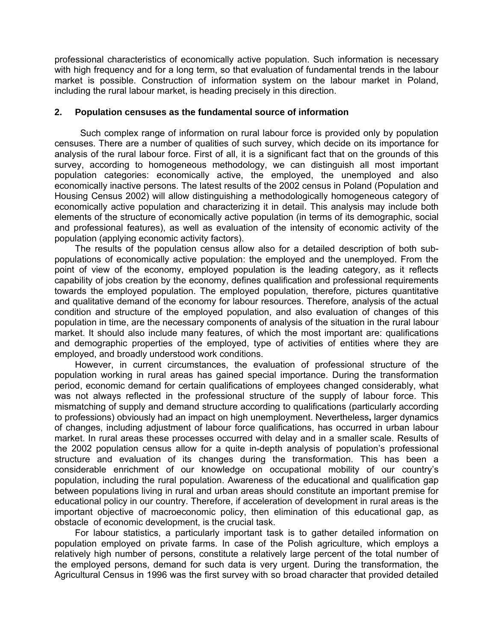professional characteristics of economically active population. Such information is necessary with high frequency and for a long term, so that evaluation of fundamental trends in the labour market is possible. Construction of information system on the labour market in Poland, including the rural labour market, is heading precisely in this direction.

# **2. Population censuses as the fundamental source of information**

 Such complex range of information on rural labour force is provided only by population censuses. There are a number of qualities of such survey, which decide on its importance for analysis of the rural labour force. First of all, it is a significant fact that on the grounds of this survey, according to homogeneous methodology, we can distinguish all most important population categories: economically active, the employed, the unemployed and also economically inactive persons. The latest results of the 2002 census in Poland (Population and Housing Census 2002) will allow distinguishing a methodologically homogeneous category of economically active population and characterizing it in detail. This analysis may include both elements of the structure of economically active population (in terms of its demographic, social and professional features), as well as evaluation of the intensity of economic activity of the population (applying economic activity factors).

 The results of the population census allow also for a detailed description of both subpopulations of economically active population: the employed and the unemployed. From the point of view of the economy, employed population is the leading category, as it reflects capability of jobs creation by the economy, defines qualification and professional requirements towards the employed population. The employed population, therefore, pictures quantitative and qualitative demand of the economy for labour resources. Therefore, analysis of the actual condition and structure of the employed population, and also evaluation of changes of this population in time, are the necessary components of analysis of the situation in the rural labour market. It should also include many features, of which the most important are: qualifications and demographic properties of the employed, type of activities of entities where they are employed, and broadly understood work conditions.

 However, in current circumstances, the evaluation of professional structure of the population working in rural areas has gained special importance. During the transformation period, economic demand for certain qualifications of employees changed considerably, what was not always reflected in the professional structure of the supply of labour force. This mismatching of supply and demand structure according to qualifications (particularly according to professions) obviously had an impact on high unemployment. Nevertheless**,** larger dynamics of changes, including adjustment of labour force qualifications, has occurred in urban labour market. In rural areas these processes occurred with delay and in a smaller scale. Results of the 2002 population census allow for a quite in-depth analysis of population's professional structure and evaluation of its changes during the transformation. This has been a considerable enrichment of our knowledge on occupational mobility of our country's population, including the rural population. Awareness of the educational and qualification gap between populations living in rural and urban areas should constitute an important premise for educational policy in our country. Therefore, if acceleration of development in rural areas is the important objective of macroeconomic policy, then elimination of this educational gap, as obstacle of economic development, is the crucial task.

 For labour statistics, a particularly important task is to gather detailed information on population employed on private farms. In case of the Polish agriculture, which employs a relatively high number of persons, constitute a relatively large percent of the total number of the employed persons, demand for such data is very urgent. During the transformation, the Agricultural Census in 1996 was the first survey with so broad character that provided detailed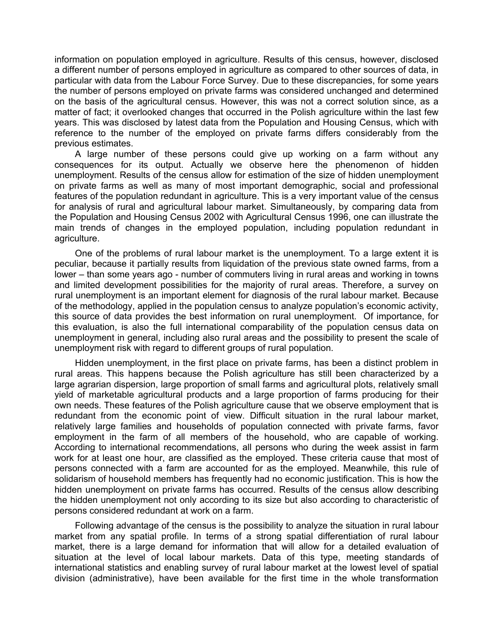information on population employed in agriculture. Results of this census, however, disclosed a different number of persons employed in agriculture as compared to other sources of data, in particular with data from the Labour Force Survey. Due to these discrepancies, for some years the number of persons employed on private farms was considered unchanged and determined on the basis of the agricultural census. However, this was not a correct solution since, as a matter of fact; it overlooked changes that occurred in the Polish agriculture within the last few years. This was disclosed by latest data from the Population and Housing Census, which with reference to the number of the employed on private farms differs considerably from the previous estimates.

 A large number of these persons could give up working on a farm without any consequences for its output. Actually we observe here the phenomenon of hidden unemployment. Results of the census allow for estimation of the size of hidden unemployment on private farms as well as many of most important demographic, social and professional features of the population redundant in agriculture. This is a very important value of the census for analysis of rural and agricultural labour market. Simultaneously, by comparing data from the Population and Housing Census 2002 with Agricultural Census 1996, one can illustrate the main trends of changes in the employed population, including population redundant in agriculture.

 One of the problems of rural labour market is the unemployment. To a large extent it is peculiar, because it partially results from liquidation of the previous state owned farms, from a lower – than some years ago - number of commuters living in rural areas and working in towns and limited development possibilities for the majority of rural areas. Therefore, a survey on rural unemployment is an important element for diagnosis of the rural labour market. Because of the methodology, applied in the population census to analyze population's economic activity, this source of data provides the best information on rural unemployment. Of importance, for this evaluation, is also the full international comparability of the population census data on unemployment in general, including also rural areas and the possibility to present the scale of unemployment risk with regard to different groups of rural population.

 Hidden unemployment, in the first place on private farms, has been a distinct problem in rural areas. This happens because the Polish agriculture has still been characterized by a large agrarian dispersion, large proportion of small farms and agricultural plots, relatively small yield of marketable agricultural products and a large proportion of farms producing for their own needs. These features of the Polish agriculture cause that we observe employment that is redundant from the economic point of view. Difficult situation in the rural labour market, relatively large families and households of population connected with private farms, favor employment in the farm of all members of the household, who are capable of working. According to international recommendations, all persons who during the week assist in farm work for at least one hour, are classified as the employed. These criteria cause that most of persons connected with a farm are accounted for as the employed. Meanwhile, this rule of solidarism of household members has frequently had no economic justification. This is how the hidden unemployment on private farms has occurred. Results of the census allow describing the hidden unemployment not only according to its size but also according to characteristic of persons considered redundant at work on a farm.

 Following advantage of the census is the possibility to analyze the situation in rural labour market from any spatial profile. In terms of a strong spatial differentiation of rural labour market, there is a large demand for information that will allow for a detailed evaluation of situation at the level of local labour markets. Data of this type, meeting standards of international statistics and enabling survey of rural labour market at the lowest level of spatial division (administrative), have been available for the first time in the whole transformation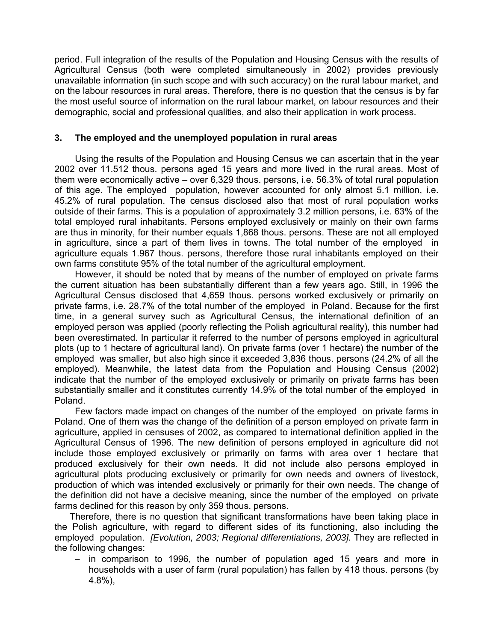period. Full integration of the results of the Population and Housing Census with the results of Agricultural Census (both were completed simultaneously in 2002) provides previously unavailable information (in such scope and with such accuracy) on the rural labour market, and on the labour resources in rural areas. Therefore, there is no question that the census is by far the most useful source of information on the rural labour market, on labour resources and their demographic, social and professional qualities, and also their application in work process.

# **3. The employed and the unemployed population in rural areas**

 Using the results of the Population and Housing Census we can ascertain that in the year 2002 over 11.512 thous. persons aged 15 years and more lived in the rural areas. Most of them were economically active – over 6,329 thous. persons, i.e. 56.3% of total rural population of this age. The employed population, however accounted for only almost 5.1 million, i.e. 45.2% of rural population. The census disclosed also that most of rural population works outside of their farms. This is a population of approximately 3.2 million persons, i.e. 63% of the total employed rural inhabitants. Persons employed exclusively or mainly on their own farms are thus in minority, for their number equals 1,868 thous. persons. These are not all employed in agriculture, since a part of them lives in towns. The total number of the employed in agriculture equals 1.967 thous. persons, therefore those rural inhabitants employed on their own farms constitute 95% of the total number of the agricultural employment.

 However, it should be noted that by means of the number of employed on private farms the current situation has been substantially different than a few years ago. Still, in 1996 the Agricultural Census disclosed that 4,659 thous. persons worked exclusively or primarily on private farms, i.e. 28.7% of the total number of the employed in Poland. Because for the first time, in a general survey such as Agricultural Census, the international definition of an employed person was applied (poorly reflecting the Polish agricultural reality), this number had been overestimated. In particular it referred to the number of persons employed in agricultural plots (up to 1 hectare of agricultural land). On private farms (over 1 hectare) the number of the employed was smaller, but also high since it exceeded 3,836 thous. persons (24.2% of all the employed). Meanwhile, the latest data from the Population and Housing Census (2002) indicate that the number of the employed exclusively or primarily on private farms has been substantially smaller and it constitutes currently 14.9% of the total number of the employed in Poland.

 Few factors made impact on changes of the number of the employed on private farms in Poland. One of them was the change of the definition of a person employed on private farm in agriculture, applied in censuses of 2002, as compared to international definition applied in the Agricultural Census of 1996. The new definition of persons employed in agriculture did not include those employed exclusively or primarily on farms with area over 1 hectare that produced exclusively for their own needs. It did not include also persons employed in agricultural plots producing exclusively or primarily for own needs and owners of livestock, production of which was intended exclusively or primarily for their own needs. The change of the definition did not have a decisive meaning, since the number of the employed on private farms declined for this reason by only 359 thous. persons.

 Therefore, there is no question that significant transformations have been taking place in the Polish agriculture, with regard to different sides of its functioning, also including the employed population. *[Evolution, 2003; Regional differentiations, 2003].* They are reflected in the following changes:

− in comparison to 1996, the number of population aged 15 years and more in households with a user of farm (rural population) has fallen by 418 thous. persons (by 4.8%),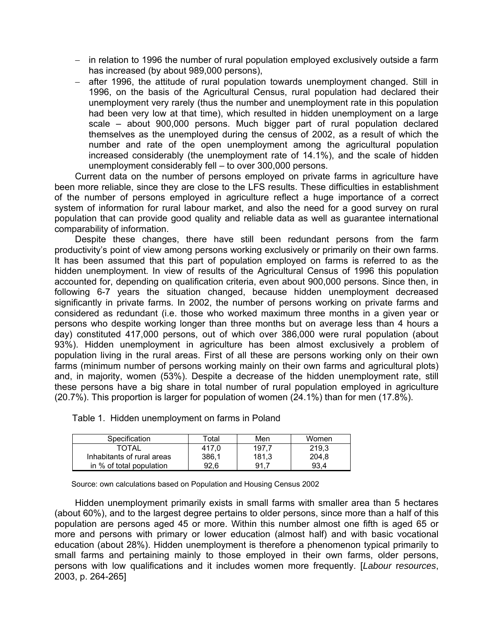- − in relation to 1996 the number of rural population employed exclusively outside a farm has increased (by about 989,000 persons),
- − after 1996, the attitude of rural population towards unemployment changed. Still in 1996, on the basis of the Agricultural Census, rural population had declared their unemployment very rarely (thus the number and unemployment rate in this population had been very low at that time), which resulted in hidden unemployment on a large scale – about 900,000 persons. Much bigger part of rural population declared themselves as the unemployed during the census of 2002, as a result of which the number and rate of the open unemployment among the agricultural population increased considerably (the unemployment rate of 14.1%), and the scale of hidden unemployment considerably fell – to over 300,000 persons.

 Current data on the number of persons employed on private farms in agriculture have been more reliable, since they are close to the LFS results. These difficulties in establishment of the number of persons employed in agriculture reflect a huge importance of a correct system of information for rural labour market, and also the need for a good survey on rural population that can provide good quality and reliable data as well as guarantee international comparability of information.

 Despite these changes, there have still been redundant persons from the farm productivity's point of view among persons working exclusively or primarily on their own farms. It has been assumed that this part of population employed on farms is referred to as the hidden unemployment. In view of results of the Agricultural Census of 1996 this population accounted for, depending on qualification criteria, even about 900,000 persons. Since then, in following 6-7 years the situation changed, because hidden unemployment decreased significantly in private farms. In 2002, the number of persons working on private farms and considered as redundant (i.e. those who worked maximum three months in a given year or persons who despite working longer than three months but on average less than 4 hours a day) constituted 417,000 persons, out of which over 386,000 were rural population (about 93%). Hidden unemployment in agriculture has been almost exclusively a problem of population living in the rural areas. First of all these are persons working only on their own farms (minimum number of persons working mainly on their own farms and agricultural plots) and, in majority, women (53%). Despite a decrease of the hidden unemployment rate, still these persons have a big share in total number of rural population employed in agriculture (20.7%). This proportion is larger for population of women (24.1%) than for men (17.8%).

| Specification |                            | Total | Men   | Women |
|---------------|----------------------------|-------|-------|-------|
|               | TOTAL                      | 417.0 | 197.7 | 219.3 |
|               | Inhabitants of rural areas | 386.1 | 181.3 | 204,8 |
|               | in % of total population   | 92.6  | 91.7  | 93.4  |

Table 1. Hidden unemployment on farms in Poland

Source: own calculations based on Population and Housing Census 2002

 Hidden unemployment primarily exists in small farms with smaller area than 5 hectares (about 60%), and to the largest degree pertains to older persons, since more than a half of this population are persons aged 45 or more. Within this number almost one fifth is aged 65 or more and persons with primary or lower education (almost half) and with basic vocational education (about 28%). Hidden unemployment is therefore a phenomenon typical primarily to small farms and pertaining mainly to those employed in their own farms, older persons, persons with low qualifications and it includes women more frequently. [*Labour* r*esources*, 2003, p. 264-265]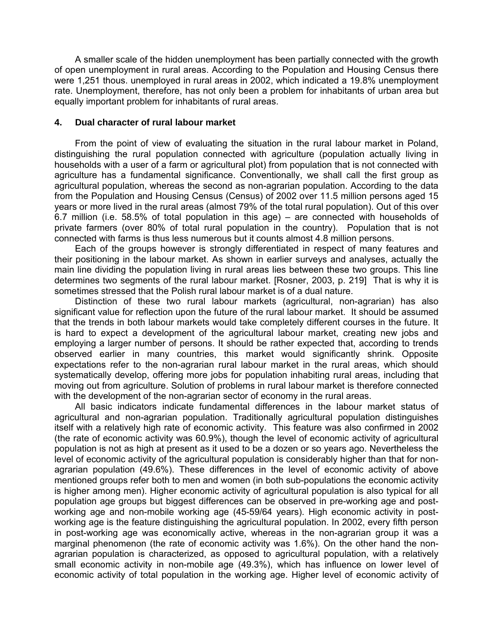A smaller scale of the hidden unemployment has been partially connected with the growth of open unemployment in rural areas. According to the Population and Housing Census there were 1,251 thous. unemployed in rural areas in 2002, which indicated a 19.8% unemployment rate. Unemployment, therefore, has not only been a problem for inhabitants of urban area but equally important problem for inhabitants of rural areas.

# **4. Dual character of rural labour market**

 From the point of view of evaluating the situation in the rural labour market in Poland, distinguishing the rural population connected with agriculture (population actually living in households with a user of a farm or agricultural plot) from population that is not connected with agriculture has a fundamental significance. Conventionally, we shall call the first group as agricultural population, whereas the second as non-agrarian population. According to the data from the Population and Housing Census (Census) of 2002 over 11.5 million persons aged 15 years or more lived in the rural areas (almost 79% of the total rural population). Out of this over 6.7 million (i.e. 58.5% of total population in this age) – are connected with households of private farmers (over 80% of total rural population in the country). Population that is not connected with farms is thus less numerous but it counts almost 4.8 million persons.

 Each of the groups however is strongly differentiated in respect of many features and their positioning in the labour market. As shown in earlier surveys and analyses, actually the main line dividing the population living in rural areas lies between these two groups. This line determines two segments of the rural labour market. [Rosner, 2003, p. 219] That is why it is sometimes stressed that the Polish rural labour market is of a dual nature.

 Distinction of these two rural labour markets (agricultural, non-agrarian) has also significant value for reflection upon the future of the rural labour market. It should be assumed that the trends in both labour markets would take completely different courses in the future. It is hard to expect a development of the agricultural labour market, creating new jobs and employing a larger number of persons. It should be rather expected that, according to trends observed earlier in many countries, this market would significantly shrink. Opposite expectations refer to the non-agrarian rural labour market in the rural areas, which should systematically develop, offering more jobs for population inhabiting rural areas, including that moving out from agriculture. Solution of problems in rural labour market is therefore connected with the development of the non-agrarian sector of economy in the rural areas.

 All basic indicators indicate fundamental differences in the labour market status of agricultural and non-agrarian population. Traditionally agricultural population distinguishes itself with a relatively high rate of economic activity. This feature was also confirmed in 2002 (the rate of economic activity was 60.9%), though the level of economic activity of agricultural population is not as high at present as it used to be a dozen or so years ago. Nevertheless the level of economic activity of the agricultural population is considerably higher than that for nonagrarian population (49.6%). These differences in the level of economic activity of above mentioned groups refer both to men and women (in both sub-populations the economic activity is higher among men). Higher economic activity of agricultural population is also typical for all population age groups but biggest differences can be observed in pre-working age and postworking age and non-mobile working age (45-59/64 years). High economic activity in postworking age is the feature distinguishing the agricultural population. In 2002, every fifth person in post-working age was economically active, whereas in the non-agrarian group it was a marginal phenomenon (the rate of economic activity was 1.6%). On the other hand the nonagrarian population is characterized, as opposed to agricultural population, with a relatively small economic activity in non-mobile age (49.3%), which has influence on lower level of economic activity of total population in the working age. Higher level of economic activity of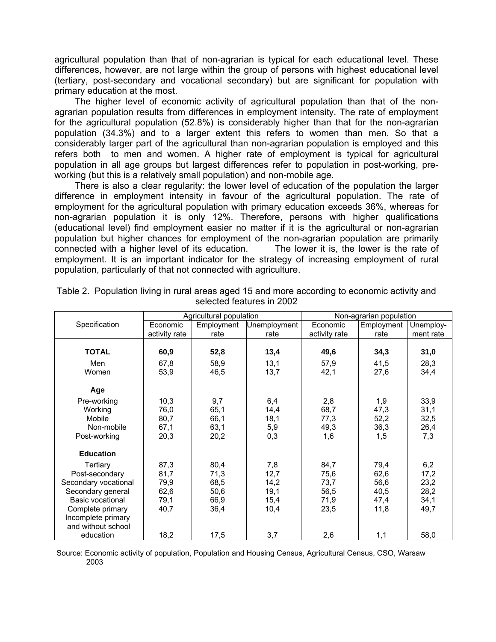agricultural population than that of non-agrarian is typical for each educational level. These differences, however, are not large within the group of persons with highest educational level (tertiary, post-secondary and vocational secondary) but are significant for population with primary education at the most.

 The higher level of economic activity of agricultural population than that of the nonagrarian population results from differences in employment intensity. The rate of employment for the agricultural population (52.8%) is considerably higher than that for the non-agrarian population (34.3%) and to a larger extent this refers to women than men. So that a considerably larger part of the agricultural than non-agrarian population is employed and this refers both to men and women. A higher rate of employment is typical for agricultural population in all age groups but largest differences refer to population in post-working, preworking (but this is a relatively small population) and non-mobile age.

 There is also a clear regularity: the lower level of education of the population the larger difference in employment intensity in favour of the agricultural population. The rate of employment for the agricultural population with primary education exceeds 36%, whereas for non-agrarian population it is only 12%. Therefore, persons with higher qualifications (educational level) find employment easier no matter if it is the agricultural or non-agrarian population but higher chances for employment of the non-agrarian population are primarily connected with a higher level of its education. The lower it is, the lower is the rate of employment. It is an important indicator for the strategy of increasing employment of rural population, particularly of that not connected with agriculture.

|                      | Agricultural population |            |              | Non-agrarian population |            |           |
|----------------------|-------------------------|------------|--------------|-------------------------|------------|-----------|
| Specification        | Economic                | Employment | Unemployment | Economic                | Employment | Unemploy- |
|                      | activity rate           | rate       | rate         | activity rate           | rate       | ment rate |
|                      |                         |            |              |                         |            |           |
| <b>TOTAL</b>         | 60,9                    | 52,8       | 13,4         | 49,6                    | 34,3       | 31,0      |
| Men                  | 67,8                    | 58,9       | 13,1         | 57,9                    | 41,5       | 28,3      |
| Women                | 53,9                    | 46,5       | 13,7         | 42,1                    | 27,6       | 34,4      |
|                      |                         |            |              |                         |            |           |
| Age                  |                         |            |              |                         |            |           |
| Pre-working          | 10,3                    | 9,7        | 6,4          | 2,8                     | 1,9        | 33,9      |
| Working              | 76,0                    | 65,1       | 14,4         | 68,7                    | 47,3       | 31,1      |
| Mobile               | 80,7                    | 66,1       | 18,1         | 77,3                    | 52,2       | 32,5      |
| Non-mobile           | 67,1                    | 63.1       | 5,9          | 49,3                    | 36,3       | 26,4      |
| Post-working         | 20,3                    | 20,2       | 0,3          | 1,6                     | 1,5        | 7,3       |
|                      |                         |            |              |                         |            |           |
| <b>Education</b>     |                         |            |              |                         |            |           |
| Tertiary             | 87,3                    | 80,4       | 7,8          | 84,7                    | 79,4       | 6,2       |
| Post-secondary       | 81,7                    | 71,3       | 12,7         | 75,6                    | 62,6       | 17,2      |
| Secondary vocational | 79,9                    | 68,5       | 14,2         | 73,7                    | 56,6       | 23,2      |
| Secondary general    | 62,6                    | 50,6       | 19,1         | 56,5                    | 40,5       | 28,2      |
| Basic vocational     | 79,1                    | 66,9       | 15,4         | 71,9                    | 47,4       | 34,1      |
| Complete primary     | 40,7                    | 36,4       | 10,4         | 23,5                    | 11,8       | 49,7      |
| Incomplete primary   |                         |            |              |                         |            |           |
| and without school   |                         |            |              |                         |            |           |
| education            | 18,2                    | 17,5       | 3,7          | 2,6                     | 1,1        | 58,0      |

Table 2. Population living in rural areas aged 15 and more according to economic activity and selected features in 2002

 Source: Economic activity of population, Population and Housing Census, Agricultural Census, CSO, Warsaw 2003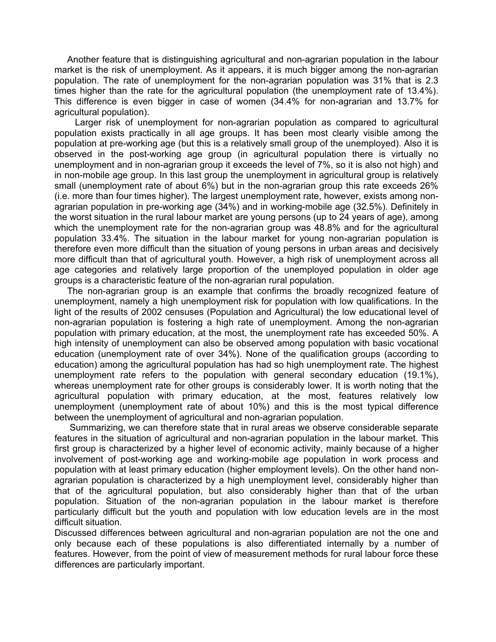Another feature that is distinguishing agricultural and non-agrarian population in the labour market is the risk of unemployment. As it appears, it is much bigger among the non-agrarian population. The rate of unemployment for the non-agrarian population was 31% that is 2.3 times higher than the rate for the agricultural population (the unemployment rate of 13.4%). This difference is even bigger in case of women (34.4% for non-agrarian and 13.7% for agricultural population).

 Larger risk of unemployment for non-agrarian population as compared to agricultural population exists practically in all age groups. It has been most clearly visible among the population at pre-working age (but this is a relatively small group of the unemployed). Also it is observed in the post-working age group (in agricultural population there is virtually no unemployment and in non-agrarian group it exceeds the level of 7%, so it is also not high) and in non-mobile age group. In this last group the unemployment in agricultural group is relatively small (unemployment rate of about 6%) but in the non-agrarian group this rate exceeds 26% (i.e. more than four times higher). The largest unemployment rate, however, exists among nonagrarian population in pre-working age (34%) and in working-mobile age (32.5%). Definitely in the worst situation in the rural labour market are young persons (up to 24 years of age), among which the unemployment rate for the non-agrarian group was 48.8% and for the agricultural population 33.4%. The situation in the labour market for young non-agrarian population is therefore even more difficult than the situation of young persons in urban areas and decisively more difficult than that of agricultural youth. However, a high risk of unemployment across all age categories and relatively large proportion of the unemployed population in older age groups is a characteristic feature of the non-agrarian rural population.

 The non-agrarian group is an example that confirms the broadly recognized feature of unemployment, namely a high unemployment risk for population with low qualifications. In the light of the results of 2002 censuses (Population and Agricultural) the low educational level of non-agrarian population is fostering a high rate of unemployment. Among the non-agrarian population with primary education, at the most, the unemployment rate has exceeded 50%. A high intensity of unemployment can also be observed among population with basic vocational education (unemployment rate of over 34%). None of the qualification groups (according to education) among the agricultural population has had so high unemployment rate. The highest unemployment rate refers to the population with general secondary education (19.1%), whereas unemployment rate for other groups is considerably lower. It is worth noting that the agricultural population with primary education, at the most, features relatively low unemployment (unemployment rate of about 10%) and this is the most typical difference between the unemployment of agricultural and non-agrarian population.

 Summarizing, we can therefore state that in rural areas we observe considerable separate features in the situation of agricultural and non-agrarian population in the labour market. This first group is characterized by a higher level of economic activity, mainly because of a higher involvement of post-working age and working-mobile age population in work process and population with at least primary education (higher employment levels). On the other hand nonagrarian population is characterized by a high unemployment level, considerably higher than that of the agricultural population, but also considerably higher than that of the urban population. Situation of the non-agrarian population in the labour market is therefore particularly difficult but the youth and population with low education levels are in the most difficult situation.

Discussed differences between agricultural and non-agrarian population are not the one and only because each of these populations is also differentiated internally by a number of features. However, from the point of view of measurement methods for rural labour force these differences are particularly important.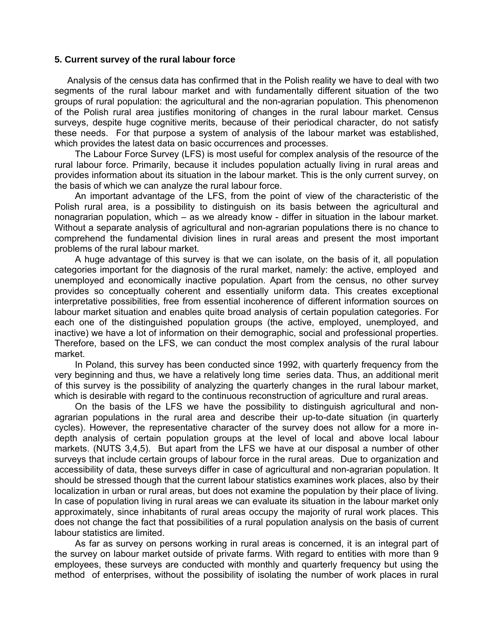### **5. Current survey of the rural labour force**

Analysis of the census data has confirmed that in the Polish reality we have to deal with two segments of the rural labour market and with fundamentally different situation of the two groups of rural population: the agricultural and the non-agrarian population. This phenomenon of the Polish rural area justifies monitoring of changes in the rural labour market. Census surveys, despite huge cognitive merits, because of their periodical character, do not satisfy these needs. For that purpose a system of analysis of the labour market was established, which provides the latest data on basic occurrences and processes.

 The Labour Force Survey (LFS) is most useful for complex analysis of the resource of the rural labour force. Primarily, because it includes population actually living in rural areas and provides information about its situation in the labour market. This is the only current survey, on the basis of which we can analyze the rural labour force.

 An important advantage of the LFS, from the point of view of the characteristic of the Polish rural area, is a possibility to distinguish on its basis between the agricultural and nonagrarian population, which – as we already know - differ in situation in the labour market. Without a separate analysis of agricultural and non-agrarian populations there is no chance to comprehend the fundamental division lines in rural areas and present the most important problems of the rural labour market.

 A huge advantage of this survey is that we can isolate, on the basis of it, all population categories important for the diagnosis of the rural market, namely: the active, employed and unemployed and economically inactive population. Apart from the census, no other survey provides so conceptually coherent and essentially uniform data. This creates exceptional interpretative possibilities, free from essential incoherence of different information sources on labour market situation and enables quite broad analysis of certain population categories. For each one of the distinguished population groups (the active, employed, unemployed, and inactive) we have a lot of information on their demographic, social and professional properties. Therefore, based on the LFS, we can conduct the most complex analysis of the rural labour market.

 In Poland, this survey has been conducted since 1992, with quarterly frequency from the very beginning and thus, we have a relatively long time series data. Thus, an additional merit of this survey is the possibility of analyzing the quarterly changes in the rural labour market, which is desirable with regard to the continuous reconstruction of agriculture and rural areas.

 On the basis of the LFS we have the possibility to distinguish agricultural and nonagrarian populations in the rural area and describe their up-to-date situation (in quarterly cycles). However, the representative character of the survey does not allow for a more indepth analysis of certain population groups at the level of local and above local labour markets. (NUTS 3,4,5). But apart from the LFS we have at our disposal a number of other surveys that include certain groups of labour force in the rural areas. Due to organization and accessibility of data, these surveys differ in case of agricultural and non-agrarian population. It should be stressed though that the current labour statistics examines work places, also by their localization in urban or rural areas, but does not examine the population by their place of living. In case of population living in rural areas we can evaluate its situation in the labour market only approximately, since inhabitants of rural areas occupy the majority of rural work places. This does not change the fact that possibilities of a rural population analysis on the basis of current labour statistics are limited.

 As far as survey on persons working in rural areas is concerned, it is an integral part of the survey on labour market outside of private farms. With regard to entities with more than 9 employees, these surveys are conducted with monthly and quarterly frequency but using the method of enterprises, without the possibility of isolating the number of work places in rural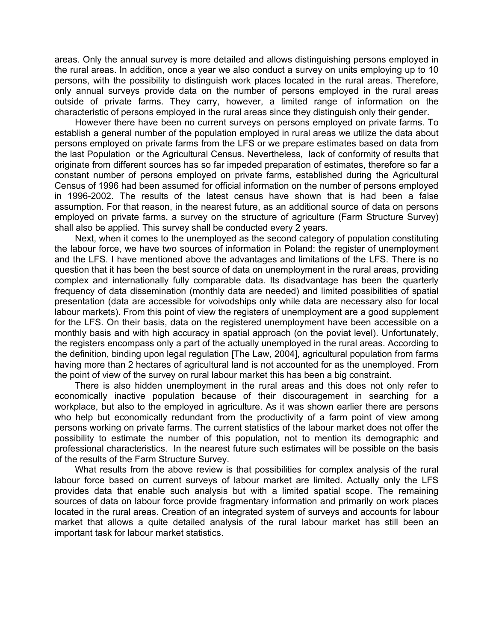areas. Only the annual survey is more detailed and allows distinguishing persons employed in the rural areas. In addition, once a year we also conduct a survey on units employing up to 10 persons, with the possibility to distinguish work places located in the rural areas. Therefore, only annual surveys provide data on the number of persons employed in the rural areas outside of private farms. They carry, however, a limited range of information on the characteristic of persons employed in the rural areas since they distinguish only their gender.

 However there have been no current surveys on persons employed on private farms. To establish a general number of the population employed in rural areas we utilize the data about persons employed on private farms from the LFS or we prepare estimates based on data from the last Population or the Agricultural Census. Nevertheless, lack of conformity of results that originate from different sources has so far impeded preparation of estimates, therefore so far a constant number of persons employed on private farms, established during the Agricultural Census of 1996 had been assumed for official information on the number of persons employed in 1996-2002. The results of the latest census have shown that is had been a false assumption. For that reason, in the nearest future, as an additional source of data on persons employed on private farms, a survey on the structure of agriculture (Farm Structure Survey) shall also be applied. This survey shall be conducted every 2 years.

 Next, when it comes to the unemployed as the second category of population constituting the labour force, we have two sources of information in Poland: the register of unemployment and the LFS. I have mentioned above the advantages and limitations of the LFS. There is no question that it has been the best source of data on unemployment in the rural areas, providing complex and internationally fully comparable data. Its disadvantage has been the quarterly frequency of data dissemination (monthly data are needed) and limited possibilities of spatial presentation (data are accessible for voivodships only while data are necessary also for local labour markets). From this point of view the registers of unemployment are a good supplement for the LFS. On their basis, data on the registered unemployment have been accessible on a monthly basis and with high accuracy in spatial approach (on the poviat level). Unfortunately, the registers encompass only a part of the actually unemployed in the rural areas. According to the definition, binding upon legal regulation [The Law, 2004], agricultural population from farms having more than 2 hectares of agricultural land is not accounted for as the unemployed. From the point of view of the survey on rural labour market this has been a big constraint.

 There is also hidden unemployment in the rural areas and this does not only refer to economically inactive population because of their discouragement in searching for a workplace, but also to the employed in agriculture. As it was shown earlier there are persons who help but economically redundant from the productivity of a farm point of view among persons working on private farms. The current statistics of the labour market does not offer the possibility to estimate the number of this population, not to mention its demographic and professional characteristics. In the nearest future such estimates will be possible on the basis of the results of the Farm Structure Survey.

 What results from the above review is that possibilities for complex analysis of the rural labour force based on current surveys of labour market are limited. Actually only the LFS provides data that enable such analysis but with a limited spatial scope. The remaining sources of data on labour force provide fragmentary information and primarily on work places located in the rural areas. Creation of an integrated system of surveys and accounts for labour market that allows a quite detailed analysis of the rural labour market has still been an important task for labour market statistics.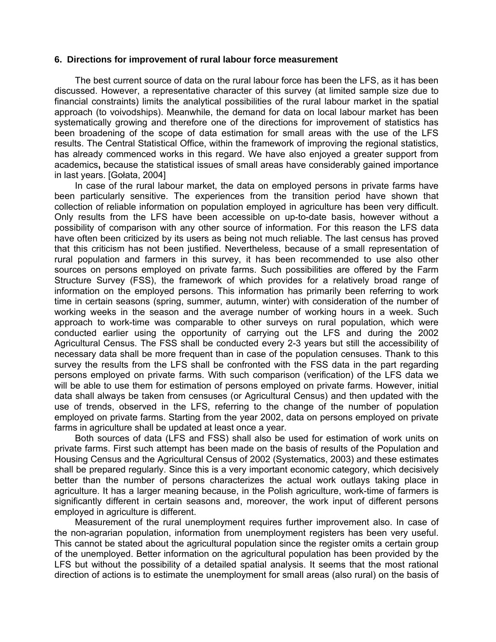### **6. Directions for improvement of rural labour force measurement**

 The best current source of data on the rural labour force has been the LFS, as it has been discussed. However, a representative character of this survey (at limited sample size due to financial constraints) limits the analytical possibilities of the rural labour market in the spatial approach (to voivodships). Meanwhile, the demand for data on local labour market has been systematically growing and therefore one of the directions for improvement of statistics has been broadening of the scope of data estimation for small areas with the use of the LFS results. The Central Statistical Office, within the framework of improving the regional statistics, has already commenced works in this regard. We have also enjoyed a greater support from academics**,** because the statistical issues of small areas have considerably gained importance in last years. [Gołata, 2004]

 In case of the rural labour market, the data on employed persons in private farms have been particularly sensitive. The experiences from the transition period have shown that collection of reliable information on population employed in agriculture has been very difficult. Only results from the LFS have been accessible on up-to-date basis, however without a possibility of comparison with any other source of information. For this reason the LFS data have often been criticized by its users as being not much reliable. The last census has proved that this criticism has not been justified. Nevertheless, because of a small representation of rural population and farmers in this survey, it has been recommended to use also other sources on persons employed on private farms. Such possibilities are offered by the Farm Structure Survey (FSS), the framework of which provides for a relatively broad range of information on the employed persons. This information has primarily been referring to work time in certain seasons (spring, summer, autumn, winter) with consideration of the number of working weeks in the season and the average number of working hours in a week. Such approach to work-time was comparable to other surveys on rural population, which were conducted earlier using the opportunity of carrying out the LFS and during the 2002 Agricultural Census. The FSS shall be conducted every 2-3 years but still the accessibility of necessary data shall be more frequent than in case of the population censuses. Thank to this survey the results from the LFS shall be confronted with the FSS data in the part regarding persons employed on private farms. With such comparison (verification) of the LFS data we will be able to use them for estimation of persons employed on private farms. However, initial data shall always be taken from censuses (or Agricultural Census) and then updated with the use of trends, observed in the LFS, referring to the change of the number of population employed on private farms. Starting from the year 2002, data on persons employed on private farms in agriculture shall be updated at least once a year.

 Both sources of data (LFS and FSS) shall also be used for estimation of work units on private farms. First such attempt has been made on the basis of results of the Population and Housing Census and the Agricultural Census of 2002 (Systematics, 2003) and these estimates shall be prepared regularly. Since this is a very important economic category, which decisively better than the number of persons characterizes the actual work outlays taking place in agriculture. It has a larger meaning because, in the Polish agriculture, work-time of farmers is significantly different in certain seasons and, moreover, the work input of different persons employed in agriculture is different.

 Measurement of the rural unemployment requires further improvement also. In case of the non-agrarian population, information from unemployment registers has been very useful. This cannot be stated about the agricultural population since the register omits a certain group of the unemployed. Better information on the agricultural population has been provided by the LFS but without the possibility of a detailed spatial analysis. It seems that the most rational direction of actions is to estimate the unemployment for small areas (also rural) on the basis of